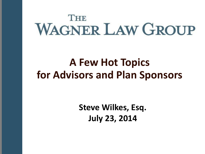# THE **WAGNER LAW GROUP**

## **A Few Hot Topics for Advisors and Plan Sponsors**

**Steve Wilkes, Esq. July 23, 2014**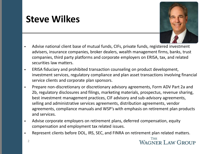#### **Steve Wilkes**

2



- Advise national client base of mutual funds, CIFs, private funds, registered investment advisers, insurance companies, broker dealers, wealth management firms, banks, trust companies, third party platforms and corporate employers on ERISA, tax, and related securities law matters.
- ERISA fiduciary and prohibited transaction counseling on product development, investment services, regulatory compliance and plan asset transactions involving financial service clients and corporate plan sponsors.
- Prepare non-discretionary or discretionary advisory agreements, Form ADV Part 2a and 2b, regulatory disclosures and filings, marketing materials, prospectus, revenue sharing, best investment management practices, CIF advisory and sub-advisory agreements, selling and administrative services agreements, distribution agreements, vendor agreements, compliance manuals and WSP's with emphasis on retirement plan products and services.
- Advise corporate employers on retirement plans, deferred compensation, equity compensation and employment tax related issues.
- Represent clients before DOL, IRS, SEC, and FINRA on retirement plan related matters.

THE **WAGNER LAW GROUP**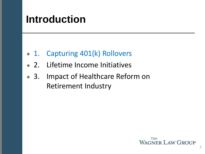# **Introduction**

- 1. Capturing 401(k) Rollovers
- 2. Lifetime Income Initiatives
- 3. Impact of Healthcare Reform on Retirement Industry

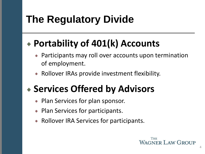# **The Regulatory Divide**

# **Portability of 401(k) Accounts**

- Participants may roll over accounts upon termination of employment.
- Rollover IRAs provide investment flexibility.

# **Services Offered by Advisors**

- Plan Services for plan sponsor.
- Plan Services for participants.
- Rollover IRA Services for participants.

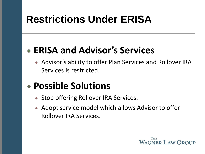# **Restrictions Under ERISA**

### **ERISA and Advisor's Services**

• Advisor's ability to offer Plan Services and Rollover IRA Services is restricted.

### **Possible Solutions**

- Stop offering Rollover IRA Services.
- Adopt service model which allows Advisor to offer Rollover IRA Services.

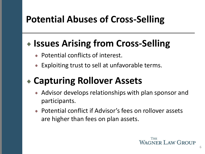### **Potential Abuses of Cross-Selling**

### **Issues Arising from Cross-Selling**

- Potential conflicts of interest.
- Exploiting trust to sell at unfavorable terms.

## **Capturing Rollover Assets**

- Advisor develops relationships with plan sponsor and participants.
- Potential conflict if Advisor's fees on rollover assets are higher than fees on plan assets.

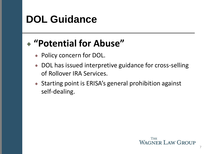# **DOL Guidance**

### **"Potential for Abuse"**

- Policy concern for DOL.
- DOL has issued interpretive guidance for cross-selling of Rollover IRA Services.
- Starting point is ERISA's general prohibition against self-dealing.

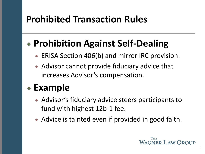### **Prohibited Transaction Rules**

### **Prohibition Against Self-Dealing**

- ERISA Section 406(b) and mirror IRC provision.
- Advisor cannot provide fiduciary advice that increases Advisor's compensation.

### **Example**

- Advisor's fiduciary advice steers participants to fund with highest 12b-1 fee.
- Advice is tainted even if provided in good faith.

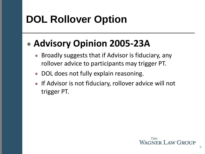# **DOL Rollover Option**

### **Advisory Opinion 2005-23A**

- Broadly suggests that if Advisor is fiduciary, any rollover advice to participants may trigger PT.
- DOL does not fully explain reasoning.
- If Advisor is not fiduciary, rollover advice will not trigger PT.

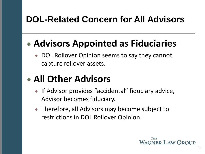#### **DOL-Related Concern for All Advisors**

### **Advisors Appointed as Fiduciaries**

• DOL Rollover Opinion seems to say they cannot capture rollover assets.

## **All Other Advisors**

- If Advisor provides "accidental" fiduciary advice, Advisor becomes fiduciary.
- Therefore, all Advisors may become subject to restrictions in DOL Rollover Opinion.

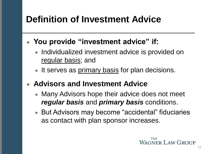#### **Definition of Investment Advice**

- **You provide "investment advice" if:**
	- Individualized investment advice is provided on regular basis; and
	- It serves as primary basis for plan decisions.
	- **Advisors and Investment Advice**
		- Many Advisors hope their advice does not meet *regular basis* and *primary basis* conditions.
		- But Advisors may become "accidental" fiduciaries as contact with plan sponsor increases.

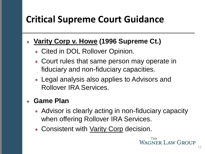## **Critical Supreme Court Guidance**

#### **Varity Corp v. Howe (1996 Supreme Ct.)**

- Cited in DOL Rollover Opinion.
- Court rules that same person may operate in fiduciary and non-fiduciary capacities.
- Legal analysis also applies to Advisors and Rollover IRA Services.

#### **Game Plan**

- Advisor is clearly acting in non-fiduciary capacity when offering Rollover IRA Services.
- Consistent with Varity Corp decision.

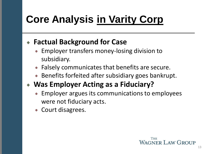# **Core Analysis in Varity Corp**

#### **Factual Background for Case**

- Employer transfers money-losing division to subsidiary.
- Falsely communicates that benefits are secure.
- Benefits forfeited after subsidiary goes bankrupt.

#### **Was Employer Acting as a Fiduciary?**

- Employer argues its communications to employees were not fiduciary acts.
- Court disagrees.

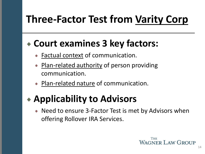# **Three-Factor Test from Varity Corp**

#### **Court examines 3 key factors:**

- Factual context of communication.
- Plan-related authority of person providing communication.
- Plan-related nature of communication.

### **Applicability to Advisors**

• Need to ensure 3-Factor Test is met by Advisors when offering Rollover IRA Services.

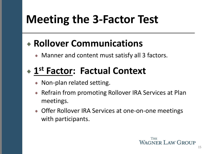# **Meeting the 3-Factor Test**

### **Rollover Communications**

• Manner and content must satisfy all 3 factors.

### **1 st Factor: Factual Context**

- Non-plan related setting.
- Refrain from promoting Rollover IRA Services at Plan meetings.
- **Offer Rollover IRA Services at one-on-one meetings** with participants.

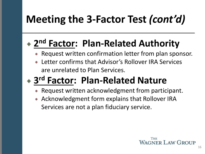# **Meeting the 3-Factor Test** *(cont'd)*

## **2 nd Factor: Plan-Related Authority**

- Request written confirmation letter from plan sponsor.
- Letter confirms that Advisor's Rollover IRA Services are unrelated to Plan Services.

# **3 rd Factor: Plan-Related Nature**

- Request written acknowledgment from participant.
- Acknowledgment form explains that Rollover IRA Services are not a plan fiduciary service.

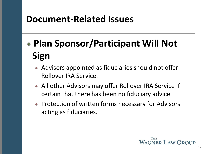#### **Document-Related Issues**

# **Plan Sponsor/Participant Will Not Sign**

- Advisors appointed as fiduciaries should not offer Rollover IRA Service.
- All other Advisors may offer Rollover IRA Service if certain that there has been no fiduciary advice.
- Protection of written forms necessary for Advisors acting as fiduciaries.

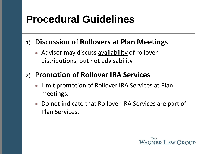# **Procedural Guidelines**

#### **1) Discussion of Rollovers at Plan Meetings**

• Advisor may discuss **availability** of rollover distributions, but not advisability.

#### **2) Promotion of Rollover IRA Services**

- Limit promotion of Rollover IRA Services at Plan meetings.
- Do not indicate that Rollover IRA Services are part of Plan Services.

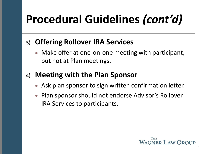# **Procedural Guidelines** *(cont'd)*

#### **3) Offering Rollover IRA Services**

• Make offer at one-on-one meeting with participant, but not at Plan meetings.

#### **4) Meeting with the Plan Sponsor**

- Ask plan sponsor to sign written confirmation letter.
- Plan sponsor should not endorse Advisor's Rollover IRA Services to participants.

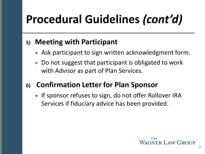# **Procedural Guidelines** *(cont'd)*

#### **5) Meeting with Participant**

- Ask participant to sign written acknowledgment form.
- Do not suggest that participant is obligated to work with Advisor as part of Plan Services.

#### **6) Confirmation Letter for Plan Sponsor**

• If sponsor refuses to sign, do not offer Rollover IRA Services if fiduciary advice has been provided.

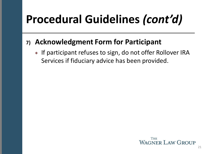# **Procedural Guidelines** *(cont'd)*

#### **7) Acknowledgment Form for Participant**

• If participant refuses to sign, do not offer Rollover IRA Services if fiduciary advice has been provided.

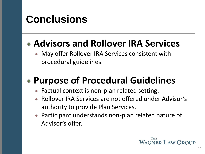# **Conclusions**

### **Advisors and Rollover IRA Services**

May offer Rollover IRA Services consistent with procedural guidelines.

## **Purpose of Procedural Guidelines**

- Factual context is non-plan related setting.
- Rollover IRA Services are not offered under Advisor's authority to provide Plan Services.
- Participant understands non-plan related nature of Advisor's offer.

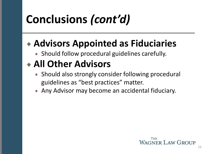# **Conclusions** *(cont'd)*

### **Advisors Appointed as Fiduciaries**

• Should follow procedural guidelines carefully.

### **All Other Advisors**

- Should also strongly consider following procedural guidelines as "best practices" matter.
- Any Advisor may become an accidental fiduciary.

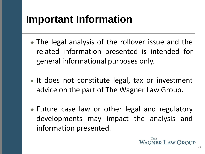# **Important Information**

- The legal analysis of the rollover issue and the related information presented is intended for general informational purposes only.
- If does not constitute legal, tax or investment advice on the part of The Wagner Law Group.
- Future case law or other legal and regulatory developments may impact the analysis and information presented.

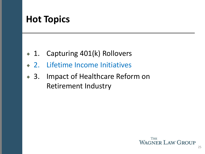#### **Hot Topics**

- 1. Capturing 401(k) Rollovers
- 2. Lifetime Income Initiatives
- 3. Impact of Healthcare Reform on Retirement Industry

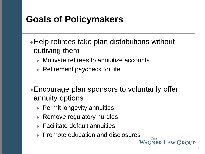#### **Goals of Policymakers**

- Help retirees take plan distributions without outliving them
	- Motivate retirees to annuitize accounts
	- Retirement paycheck for life
- Encourage plan sponsors to voluntarily offer annuity options
	- Permit longevity annuities
	- Remove regulatory hurdles
	- Facilitate default annuities
	- Promote education and disclosures

**THE** 

**WAGNER LAW GROUP**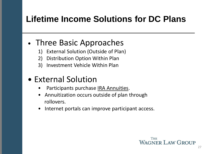#### **Lifetime Income Solutions for DC Plans**

#### • Three Basic Approaches

- 1) External Solution (Outside of Plan)
- 2) Distribution Option Within Plan
- 3) Investment Vehicle Within Plan

#### • External Solution

- Participants purchase IRA Annuities.
- Annuitization occurs outside of plan through rollovers.
- Internet portals can improve participant access.

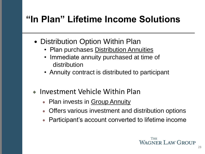### **"In Plan" Lifetime Income Solutions**

- Distribution Option Within Plan
	- Plan purchases Distribution Annuities
	- Immediate annuity purchased at time of distribution
	- Annuity contract is distributed to participant
- Investment Vehicle Within Plan
	- Plan invests in Group Annuity
	- Offers various investment and distribution options
	- Participant's account converted to lifetime income

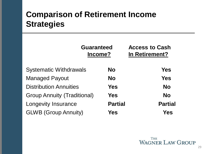#### **Comparison of Retirement Income Strategies**

|                                    | <b>Guaranteed</b><br>Income? |                |
|------------------------------------|------------------------------|----------------|
| <b>Systematic Withdrawals</b>      | <b>No</b>                    | Yes            |
| <b>Managed Payout</b>              | <b>No</b>                    | Yes            |
| <b>Distribution Annuities</b>      | <b>Yes</b>                   | <b>No</b>      |
| <b>Group Annuity (Traditional)</b> | <b>Yes</b>                   | <b>No</b>      |
| <b>Longevity Insurance</b>         | <b>Partial</b>               | <b>Partial</b> |
| <b>GLWB (Group Annuity)</b>        | Yes                          | Yes            |

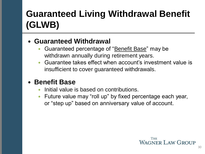# **Guaranteed Living Withdrawal Benefit (GLWB)**

#### **Guaranteed Withdrawal**

- Guaranteed percentage of "Benefit Base" may be withdrawn annually during retirement years.
- Guarantee takes effect when account's investment value is insufficient to cover guaranteed withdrawals.

#### **Benefit Base**

- Initial value is based on contributions.
- Future value may "roll up" by fixed percentage each year, or "step up" based on anniversary value of account.

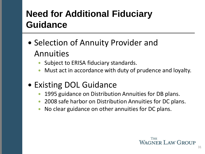### **Need for Additional Fiduciary Guidance**

- Selection of Annuity Provider and Annuities
	- Subject to ERISA fiduciary standards.
	- Must act in accordance with duty of prudence and loyalty.
- Existing DOL Guidance
	- 1995 guidance on Distribution Annuities for DB plans.
	- 2008 safe harbor on Distribution Annuities for DC plans.
	- No clear guidance on other annuities for DC plans.

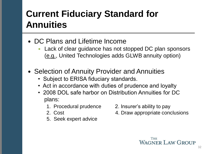### **Current Fiduciary Standard for Annuities**

- DC Plans and Lifetime Income
	- Lack of clear guidance has not stopped DC plan sponsors (e.g., United Technologies adds GLWB annuity option)
- Selection of Annuity Provider and Annuities
	- Subject to ERISA fiduciary standards.
	- Act in accordance with duties of prudence and loyalty
	- 2008 DOL safe harbor on Distribution Annuities for DC plans:
		- 1. Procedural prudence 2. Insurer's ability to pay
		-
		- 5. Seek expert advice
- 
- 2. Cost **4. Draw appropriate conclusions**

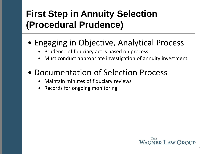### **First Step in Annuity Selection (Procedural Prudence)**

#### • Engaging in Objective, Analytical Process

- Prudence of fiduciary act is based on process
- Must conduct appropriate investigation of annuity investment

#### • Documentation of Selection Process

- Maintain minutes of fiduciary reviews
- Records for ongoing monitoring

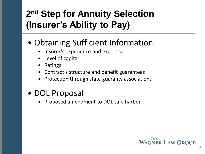### **2 nd Step for Annuity Selection (Insurer's Ability to Pay)**

#### • Obtaining Sufficient Information

- Insurer's experience and expertise
- Level of capital
- Ratings
- Contract's structure and benefit guarantees
- Protection through state guaranty associations

#### • DOL Proposal

Proposed amendment to DOL safe harbor

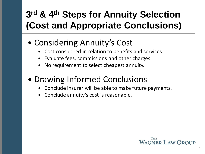### **3 rd & 4th Steps for Annuity Selection (Cost and Appropriate Conclusions)**

#### • Considering Annuity's Cost

- Cost considered in relation to benefits and services.
- Evaluate fees, commissions and other charges.
- No requirement to select cheapest annuity.

#### • Drawing Informed Conclusions

- Conclude insurer will be able to make future payments.
- Conclude annuity's cost is reasonable.

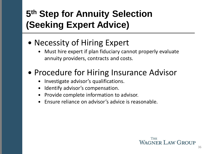### **5 th Step for Annuity Selection (Seeking Expert Advice)**

- Necessity of Hiring Expert
	- Must hire expert if plan fiduciary cannot properly evaluate annuity providers, contracts and costs.
- Procedure for Hiring Insurance Advisor
	- Investigate advisor's qualifications.
	- Identify advisor's compensation.
	- Provide complete information to advisor.
	- Ensure reliance on advisor's advice is reasonable.

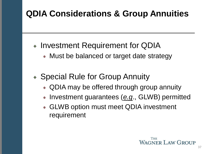#### **QDIA Considerations & Group Annuities**

- Investment Requirement for QDIA
	- Must be balanced or target date strategy
- Special Rule for Group Annuity
	- QDIA may be offered through group annuity
	- Investment guarantees (e.g., GLWB) permitted
	- GLWB option must meet QDIA investment requirement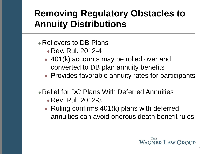#### **Removing Regulatory Obstacles to Annuity Distributions**

- Rollovers to DB Plans
	- Rev. Rul. 2012-4
	- 401(k) accounts may be rolled over and converted to DB plan annuity benefits
	- Provides favorable annuity rates for participants
- Relief for DC Plans With Deferred Annuities
	- Rev. Rul. 2012-3
	- Ruling confirms 401(k) plans with deferred annuities can avoid onerous death benefit rules

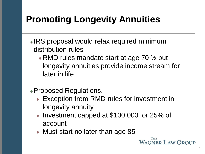### **Promoting Longevity Annuities**

- IRS proposal would relax required minimum distribution rules
	- RMD rules mandate start at age 70  $\frac{1}{2}$  but longevity annuities provide income stream for later in life
- Proposed Regulations.
	- Exception from RMD rules for investment in longevity annuity
	- Investment capped at \$100,000 or 25% of account
	- Must start no later than age 85

THE **WAGNER LAW GROUP**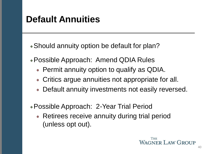#### **Default Annuities**

Should annuity option be default for plan?

- Possible Approach: Amend QDIA Rules
	- Permit annuity option to qualify as QDIA.
	- Critics argue annuities not appropriate for all.
	- Default annuity investments not easily reversed.
- Possible Approach: 2-Year Trial Period
	- Retirees receive annuity during trial period (unless opt out).

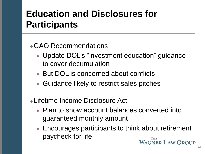#### **Education and Disclosures for Participants**

#### GAO Recommendations

- Update DOL's "investment education" guidance to cover decumulation
- But DOL is concerned about conflicts
- Guidance likely to restrict sales pitches
- Lifetime Income Disclosure Act
	- Plan to show account balances converted into guaranteed monthly amount
	- Encourages participants to think about retirement paycheck for life **WAGNER LAW GROUP**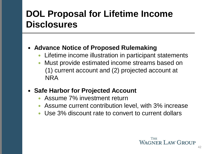#### **DOL Proposal for Lifetime Income Disclosures**

#### **Advance Notice of Proposed Rulemaking**

- Lifetime income illustration in participant statements
- Must provide estimated income streams based on (1) current account and (2) projected account at NRA

#### **Safe Harbor for Projected Account**

- Assume 7% investment return
- Assume current contribution level, with 3% increase
- Use 3% discount rate to convert to current dollars

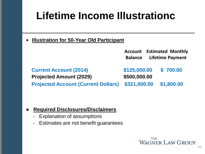# **Lifetime Income Illustrationc**

**• Illustration for 50-Year Old Participant**

|                                                                 |                              | <b>Account</b> Estimated Monthly<br><b>Balance</b> Lifetime Payment |
|-----------------------------------------------------------------|------------------------------|---------------------------------------------------------------------|
| <b>Current Account (2014)</b><br><b>Projected Amount (2029)</b> | \$125,000.00<br>\$500,000.00 | \$700.00                                                            |
| <b>Projected Account (Current Dollars)</b>                      | \$321,000.00                 | \$1,800.00                                                          |

#### ● **Required Disclosures/Disclaimers**

- Explanation of assumptions
- Estimates are not benefit guarantees

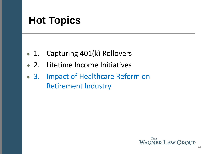# **Hot Topics**

- 1. Capturing 401(k) Rollovers
- 2. Lifetime Income Initiatives
- 3. Impact of Healthcare Reform on Retirement Industry

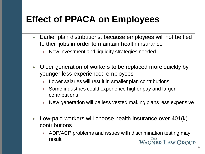#### **Effect of PPACA on Employees**

- Earlier plan distributions, because employees will not be tied to their jobs in order to maintain health insurance
	- New investment and liquidity strategies needed  $\bullet$  .
- Older generation of workers to be replaced more quickly by younger less experienced employees
	- Lower salaries will result in smaller plan contributions
	- Some industries could experience higher pay and larger contributions
	- New generation will be less vested making plans less expensive ۰
- Low-paid workers will choose health insurance over 401(k) contributions
	- ADP/ACP problems and issues with discrimination testing may result **WAGNER LAW GROUP**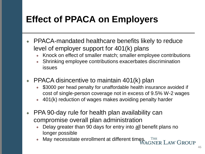### **Effect of PPACA on Employers**

- PPACA-mandated healthcare benefits likely to reduce level of employer support for 401(k) plans
	- Knock on effect of smaller match; smaller employee contributions
	- Shrinking employee contributions exacerbates discrimination issues
- PPACA disincentive to maintain 401(k) plan
	- \$3000 per head penalty for unaffordable health insurance avoided if ٠ cost of single-person coverage not in excess of 9.5% W-2 wages
	- 401(k) reduction of wages makes avoiding penalty harder
- PPA 90-day rule for health plan availability can compromise overall plan administration
	- Delay greater than 90 days for entry into all benefit plans no longer possible
	- May necessitate enrollment at different times **AGNER LAW GROUP**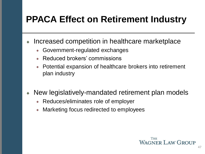### **PPACA Effect on Retirement Industry**

- Increased competition in healthcare marketplace
	- Government-regulated exchanges ۰
	- Reduced brokers' commissions
	- Potential expansion of healthcare brokers into retirement  $\bullet$  . plan industry
- New legislatively-mandated retirement plan models
	- Reduces/eliminates role of employer
	- Marketing focus redirected to employees

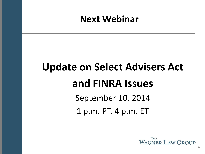#### **Next Webinar**

# **Update on Select Advisers Act and FINRA Issues**

September 10, 2014

1 p.m. PT, 4 p.m. ET